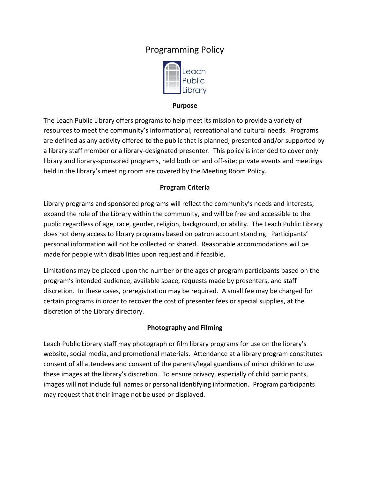# Programming Policy



#### **Purpose**

The Leach Public Library offers programs to help meet its mission to provide a variety of resources to meet the community's informational, recreational and cultural needs. Programs are defined as any activity offered to the public that is planned, presented and/or supported by a library staff member or a library-designated presenter. This policy is intended to cover only library and library-sponsored programs, held both on and off-site; private events and meetings held in the library's meeting room are covered by the Meeting Room Policy.

## **Program Criteria**

Library programs and sponsored programs will reflect the community's needs and interests, expand the role of the Library within the community, and will be free and accessible to the public regardless of age, race, gender, religion, background, or ability. The Leach Public Library does not deny access to library programs based on patron account standing. Participants' personal information will not be collected or shared. Reasonable accommodations will be made for people with disabilities upon request and if feasible.

Limitations may be placed upon the number or the ages of program participants based on the program's intended audience, available space, requests made by presenters, and staff discretion. In these cases, preregistration may be required. A small fee may be charged for certain programs in order to recover the cost of presenter fees or special supplies, at the discretion of the Library directory.

## **Photography and Filming**

Leach Public Library staff may photograph or film library programs for use on the library's website, social media, and promotional materials. Attendance at a library program constitutes consent of all attendees and consent of the parents/legal guardians of minor children to use these images at the library's discretion. To ensure privacy, especially of child participants, images will not include full names or personal identifying information. Program participants may request that their image not be used or displayed.